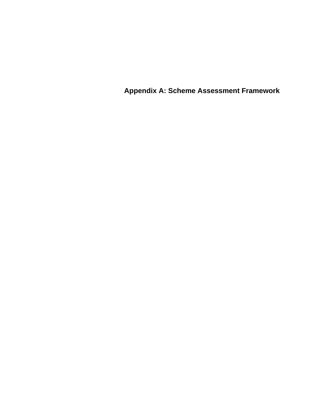**Appendix A: Scheme Assessment Framework**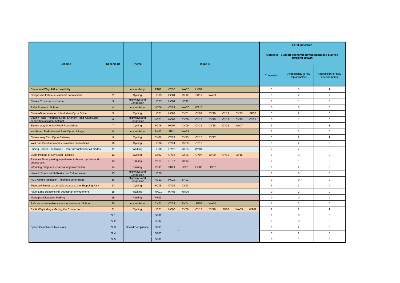|                                                                                     | <b>Scheme ID</b> | <b>Theme</b>                      |                  |             |                  |             |             |             |             |             |                                                                         | <b>LTP3 Indicators</b>               |                |
|-------------------------------------------------------------------------------------|------------------|-----------------------------------|------------------|-------------|------------------|-------------|-------------|-------------|-------------|-------------|-------------------------------------------------------------------------|--------------------------------------|----------------|
| <b>Scheme</b>                                                                       |                  |                                   | <b>Issue ID</b>  |             |                  |             |             |             |             |             | Objective - Support economic development and planned<br>dwelling growth |                                      |                |
|                                                                                     |                  |                                   |                  |             |                  |             |             |             |             | Congestion  | Accessibility to key<br>trip attractors                                 | Accessibility of new<br>developments |                |
| Centennial Way-A41 accessibility                                                    | -1               | Accessibility                     | <b>PT01</b>      | <b>CY08</b> | <b>WA02</b>      | <b>HC04</b> |             |             |             |             | 3                                                                       | 3                                    | $\mathbf{1}$   |
| <b>Composers Estate sustainable connections</b>                                     | $\overline{2}$   | Cycling                           | <b>HC03</b>      | HC04        | <b>CY12</b>      | <b>PK11</b> | <b>WA03</b> |             |             |             | 3                                                                       | $\overline{2}$                       | 2              |
| <b>Elstree Crossroads scheme</b>                                                    | 3                | <b>Highways and</b><br>Congestion | HC03             | HC04        | <b>HC12</b>      |             |             |             |             |             | 0                                                                       | $\overline{1}$                       | $\mathbf 0$    |
| <b>Safer Routes to School</b>                                                       | $\overline{4}$   | Accessibility                     | <b>HC06</b>      | <b>CY24</b> | <b>WA07</b>      | <b>WA10</b> |             |             |             |             | $\mathbf 0$                                                             | $\mathbf 0$                          | $\mathbf 0$    |
| Elstree-Borehamwood Inter-Urban Cycle Spine                                         | 5 <sup>5</sup>   | Cycling                           | HC01             | <b>HC02</b> | <b>CY01</b>      | <b>CY09</b> | <b>CY10</b> | <b>CY11</b> | <b>CY13</b> | <b>PK08</b> | 3                                                                       | $\overline{2}$                       | $\mathbf 0$    |
| Station Road-Theobald Street-Shenley Road-Allum Lane<br>congestion/accident hotspot | 6                | <b>Highways and</b><br>Congestion | HC01             | HC05        | <b>CY09</b>      | <b>CY10</b> | <b>CY15</b> | <b>CY18</b> | <b>CY20</b> | CY21        | $\mathbf 0$                                                             | $\overline{1}$                       | $\mathbf 0$    |
| Elstree Way-Shenley Road Roundabout                                                 | $\overline{7}$   | Cycling                           | <b>HC06</b>      | HC07        | <b>CY09</b>      | <b>CY15</b> | <b>CY18</b> | <b>CY21</b> | <b>WA07</b> |             | 3                                                                       | $\overline{2}$                       | 3              |
| Kenilworth Park-Maxwell Park Cycle Linkage                                          | 8 <sup>°</sup>   | Accessibility                     | <b>PK03</b>      | <b>SP11</b> | <b>WA09</b>      |             |             |             |             |             | 3                                                                       | 3                                    | $\overline{0}$ |
| <b>Elstree Way East Cycle Gateway</b>                                               | 9                | Cycling                           | <b>CY06</b>      | <b>CY09</b> | <b>CY13</b>      | <b>CY15</b> | <b>CY17</b> |             |             |             | 3                                                                       | $\overline{c}$                       | $\overline{1}$ |
| Well End-Borehamwood sustainable connections                                        | 10 <sup>°</sup>  | Cycling                           | <b>HC06</b>      | <b>CY04</b> | <b>CY09</b>      | <b>CY13</b> |             |             |             |             | 3                                                                       | 2                                    | $\mathbf 0$    |
| Stirling Corner Roundabout - safer navigation for all modes                         | 11               | Walking                           | <b>HC10</b>      | <b>CY18</b> | CY25             | <b>WA04</b> |             |             |             |             | $\overline{2}$                                                          | 2                                    | $\overline{0}$ |
| <b>Cycle Parking at Key Local Facilities</b>                                        | 12               | Cycling                           | <b>CY02</b>      | <b>CY03</b> | <b>CY05</b>      | <b>CY07</b> | <b>CY09</b> | <b>CY13</b> | <b>CY16</b> |             | $\mathbf 0$                                                             | 3                                    | $\mathbf 0$    |
| Balmoral Drive parking impediment to buses, cyclists and<br>pedestrians             | 13               | Parking                           | <b>PK10</b>      | <b>PT07</b> | <b>CY14</b>      |             |             |             |             |             | $\mathbf 0$                                                             | $\overline{1}$                       | $\mathbf 0$    |
| Informing Shoppers - Car Parking Information                                        | 14               | Parking                           | <b>PK05</b>      | <b>PK09</b> | HC01             | <b>HC05</b> | HC07        |             |             |             | $\mathbf 0$                                                             | 2                                    | $\overline{0}$ |
| Newark Green Width Restriction Enhancement                                          | 15               | Highways and<br>Congestion        | HC <sub>09</sub> |             |                  |             |             |             |             |             | $\mathbf 0$                                                             | $\mathbf 0$                          | $\mathbf 0$    |
| HGV weight restriction - finding a better route                                     | 16               | Highways and<br>Congestion        | <b>HC11</b>      | <b>HC12</b> | SP <sub>02</sub> |             |             |             |             |             | $\mathbf 0$                                                             | $\mathbf 0$                          | $\mathbf 0$    |
| Theobald Street sustainable access to the Shopping Park                             | 17               | Cycling                           | <b>HC05</b>      | <b>CY09</b> | <b>CY13</b>      |             |             |             |             |             | 3                                                                       | 3                                    | $\overline{0}$ |
| Allum Lane-Deacons Hill pedestrian environment                                      | 18               | Walking                           | <b>WA01</b>      | WA05        | <b>WA06</b>      |             |             |             |             |             | 0                                                                       | 2                                    | $\mathbf{0}$   |
| Managing Disruptive Parking                                                         | 19               | Parking                           | <b>PK09</b>      |             |                  |             |             |             |             |             | $\mathbf 0$                                                             | $\mathbf 0$                          | $\overline{0}$ |
| Safe and sustainable access to Hertswood School                                     | 20               | Accessibility                     | <b>CY21</b>      | <b>CY24</b> | <b>PK04</b>      | SP07        | <b>WA10</b> |             |             |             | $\overline{1}$                                                          | $\mathbf{3}$                         | $\overline{0}$ |
| Cycle Wayfinding - Making the Connections                                           | 21               | Cycling                           | HC01             | <b>HC06</b> | <b>CY09</b>      | <b>CY13</b> | <b>CY18</b> | <b>PK08</b> | <b>WA05</b> | <b>WA07</b> | $\mathbf{1}$                                                            | $\overline{2}$                       | $\mathbf{1}$   |
| <b>Speed Compliance Measures</b>                                                    | 22.1             | <b>Speed Compliance</b>           | SP01             |             |                  |             |             |             |             |             | $\mathbf 0$                                                             | $\mathsf{O}\xspace$                  | $\overline{0}$ |
|                                                                                     | 22.2             |                                   | SP <sub>02</sub> |             |                  |             |             |             |             |             | $\mathbf 0$                                                             | $\mathsf{O}\xspace$                  | $\overline{0}$ |
|                                                                                     | 22.3             |                                   | SP03             |             |                  |             |             |             |             |             | $\mathbf 0$                                                             | $\overline{2}$                       | $\overline{0}$ |
|                                                                                     | 22.4             |                                   | SP <sub>05</sub> |             |                  |             |             |             |             |             | $\mathbf 0$                                                             | $\overline{2}$                       | $\overline{0}$ |
|                                                                                     | 22.5             |                                   | SP <sub>06</sub> |             |                  |             |             |             |             |             | $\mathbf 0$                                                             | $\mathbf{1}$                         | $\overline{0}$ |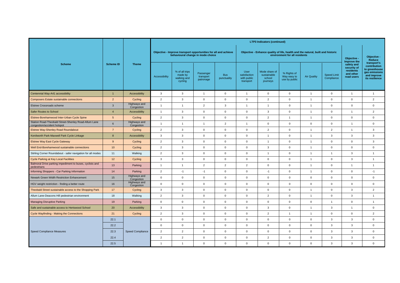|                                                                                     | <b>Scheme ID</b> | <b>Theme</b>               | <b>LTP3 Indicators (continued)</b> |                                                                                                      |                                     |                           |                                                  |                                                                                                                  |                                             |                         |                                  |                                                                                  |                                                                                                |
|-------------------------------------------------------------------------------------|------------------|----------------------------|------------------------------------|------------------------------------------------------------------------------------------------------|-------------------------------------|---------------------------|--------------------------------------------------|------------------------------------------------------------------------------------------------------------------|---------------------------------------------|-------------------------|----------------------------------|----------------------------------------------------------------------------------|------------------------------------------------------------------------------------------------|
| <b>Scheme</b>                                                                       |                  |                            |                                    | Objective - Improve transport opportunities for all and achieve<br>behavioural change in mode choice |                                     |                           |                                                  | Objective - Enhance quality of life, health and the natural, built and historic<br>environment for all residents | Objective -                                 | Objective -<br>Reduce   |                                  |                                                                                  |                                                                                                |
|                                                                                     |                  |                            | Accessibility                      | % of all trips<br>made by<br>walking and<br>cycling                                                  | Passenger<br>transport<br>patronage | <b>Bus</b><br>punctuality | User<br>satisfaction<br>with public<br>transport | Mode share of<br>sustainable<br>school<br>journeys                                                               | % Rights of<br>Way easy to<br>use by public | <b>Air Quality</b>      | <b>Speed Limit</b><br>Compliance | Improve the<br>safety and<br>security of<br>residents<br>and other<br>road users | transport's<br>contribution<br>to greenhouse<br>gas emissions<br>and improve<br>its resilience |
| Centennial Way-A41 accessibility                                                    | $\overline{1}$   | Accessibility              | 3                                  | $\mathbf{3}$                                                                                         | - 1                                 | $\mathbf 0$               | -1                                               | $\mathbf 0$                                                                                                      | $\mathbf{0}$                                | $\overline{1}$          | $\Omega$                         | -1                                                                               | $\mathbf{1}$                                                                                   |
| Composers Estate sustainable connections                                            | $\overline{2}$   | Cycling                    | 2                                  | $\mathbf{3}$                                                                                         | $\overline{0}$                      | $\overline{0}$            | $\mathbf{0}$                                     | $\overline{2}$                                                                                                   | $\mathbf 0$                                 | $\overline{\mathbf{1}}$ | $\Omega$                         | $\Omega$                                                                         | $\overline{2}$                                                                                 |
| Elstree Crossroads scheme                                                           | 3                | Highways and<br>Congestion | -1                                 | -1                                                                                                   | $\overline{2}$                      | 3                         | -1                                               | -1                                                                                                               | $\mathbf 0$                                 | -1                      | $\Omega$                         | $\Omega$                                                                         | $\mathbf 0$                                                                                    |
| Safer Routes to School                                                              | $\overline{4}$   | Accessibility              | $\overline{1}$                     | $\mathbf{3}$                                                                                         | $\mathbf{0}$                        | $\mathbf 0$               | $\mathbf{0}$                                     | $\mathbf{3}$                                                                                                     | $\mathbf{0}$                                | $\overline{\mathbf{1}}$ | $\Omega$                         |                                                                                  | 2                                                                                              |
| Elstree-Borehamwood Inter-Urban Cycle Spine                                         | 5                | Cycling                    | $\overline{2}$                     | 3                                                                                                    | $\overline{0}$                      | $\overline{0}$            | $\Omega$                                         | $\overline{2}$                                                                                                   | -1                                          | $\overline{1}$          | $\Omega$                         | $\Omega$                                                                         | $\mathbf 0$                                                                                    |
| Station Road-Theobald Street-Shenley Road-Allum Lane<br>congestion/accident hotspot | 6                | Highways and<br>Congestion | -1                                 | $\overline{1}$                                                                                       |                                     | 2                         |                                                  | $\overline{0}$                                                                                                   | $\mathbf{0}$                                | $\mathbf{0}$            | $\Omega$                         |                                                                                  | $\mathbf 0$                                                                                    |
| <b>Elstree Way-Shenley Road Roundabout</b>                                          | $\overline{7}$   | Cycling                    | $\overline{2}$                     | 3                                                                                                    | $\overline{0}$                      | $\mathbf{0}$              | $\mathbf{0}$                                     | $\overline{2}$                                                                                                   | $\overline{0}$                              | -1                      | 2                                |                                                                                  | 3                                                                                              |
| Kenilworth Park-Maxwell Park Cycle Linkage                                          | 8                | Accessibility              | 3                                  | $\mathbf{3}$                                                                                         | $\overline{0}$                      | $\overline{0}$            | $\Omega$                                         | $\overline{1}$                                                                                                   | $\mathbf{0}$                                | $\overline{\mathbf{1}}$ | 3                                | 3                                                                                | $\mathbf{3}$                                                                                   |
| <b>Elstree Way East Cycle Gateway</b>                                               | 9                | Cycling                    | $\overline{2}$                     | 3                                                                                                    | $\overline{0}$                      | $\mathbf 0$               | $\mathbf{0}$                                     | $\overline{1}$                                                                                                   | $\mathbf 0$                                 | $\overline{\mathbf{1}}$ | $\Omega$                         | $\Omega$                                                                         | $\mathbf{3}$                                                                                   |
| Well End-Borehamwood sustainable connections                                        | 10               | Cycling                    | $\overline{2}$                     | $\mathbf{3}$                                                                                         | $\mathbf{0}$                        | $\mathbf 0$               | $\mathbf{0}$                                     | $\mathbf{3}$                                                                                                     | $\mathbf{0}$                                | $\overline{1}$          | $\Omega$                         | $\Omega$                                                                         | $\mathbf 0$                                                                                    |
| Stirling Corner Roundabout - safer navigation for all modes                         | 11               | Walking                    | $\overline{2}$                     | 3                                                                                                    | $\mathbf{0}$                        | $\mathbf 0$               | $\mathbf{0}$                                     | $\overline{1}$                                                                                                   | $\mathbf 0$                                 | $\overline{1}$          | $\overline{1}$                   | 3                                                                                | $\mathbf{1}$                                                                                   |
| Cycle Parking at Key Local Facilities                                               | 12               | Cycling                    | 3                                  | 3                                                                                                    | $\overline{0}$                      | $\mathbf 0$               | $\mathbf{0}$                                     | $\mathbf{0}$                                                                                                     | $\mathbf 0$                                 | $\overline{1}$          | $\mathbf 0$                      | 3                                                                                | $\mathbf{1}$                                                                                   |
| Balmoral Drive parking impediment to buses, cyclists and<br>pedestrians             | 13               | Parking                    | -1                                 | $\overline{1}$                                                                                       | 2                                   | $\overline{2}$            | 2                                                | $\mathbf{0}$                                                                                                     | $\mathbf{0}$                                | $\overline{\mathbf{1}}$ | $\Omega$                         | -1                                                                               | $\overline{1}$                                                                                 |
| Informing Shoppers - Car Parking Information                                        | 14               | Parking                    | $\overline{2}$                     | $-1$                                                                                                 | $-1$                                | $\mathbf{0}$              | $\mathbf{0}$                                     | $-1$                                                                                                             | $\mathbf{0}$                                | $\overline{\mathbf{1}}$ | $\Omega$                         | $\Omega$                                                                         | $-1$                                                                                           |
| Newark Green Width Restriction Enhancement                                          | 15               | Highways and<br>Congestion | $\overline{0}$                     | $\mathbf 0$                                                                                          | $\overline{0}$                      | $\mathbf 0$               | $\mathbf{0}$                                     | $\mathbf 0$                                                                                                      | $\mathbf 0$                                 | $\mathbf 0$             | $\Omega$                         | $\Omega$                                                                         | $\mathbf 0$                                                                                    |
| HGV weight restriction - finding a better route                                     | 16               | Highways and<br>Congestion | $\Omega$                           | $\mathbf 0$                                                                                          | $\Omega$                            | $\mathbf{0}$              | $\mathbf{0}$                                     | $\mathbf 0$                                                                                                      | $\overline{0}$                              | $\mathbf 0$             | $\Omega$                         | $\Omega$                                                                         | $\mathbf 0$                                                                                    |
| Theobald Street sustainable access to the Shopping Park                             | 17               | Cycling                    | $\mathbf{3}$                       | $\mathbf{3}$                                                                                         | $\mathbf 0$                         | $\mathbf 0$               | $\mathbf 0$                                      | $\mathbf 0$                                                                                                      | $\mathbf 0$                                 | $\overline{1}$          | $\mathbf 0$                      | 3                                                                                | $\overline{2}$                                                                                 |
| Allum Lane-Deacons Hill pedestrian environment                                      | 18               | Walking                    | $\overline{2}$                     | $\mathbf{3}$                                                                                         | $\overline{0}$                      | $\overline{0}$            | $\mathbf 0$                                      | $\overline{2}$                                                                                                   | $\overline{0}$                              | $\overline{1}$          | $\mathbf 0$                      | $\mathbf{3}$                                                                     | $\overline{1}$                                                                                 |
| Managing Disruptive Parking                                                         | 19               | Parking                    | $\mathbf 0$                        | $\boldsymbol{0}$                                                                                     | $\overline{0}$                      | $\overline{0}$            | $\mathbf 0$                                      | $\mathbf 0$                                                                                                      | $\mathbf 0$                                 | $\overline{0}$          | $\overline{1}$                   | $\mathbf 0$                                                                      | $\mathbf{1}$                                                                                   |
| Safe and sustainable access to Hertswood School                                     | 20               | Accessibility              | $\mathbf{3}$                       | $\mathbf{3}$                                                                                         | $\overline{0}$                      | $\overline{0}$            | $\mathbf 0$                                      | $\mathbf{3}$                                                                                                     | $\overline{0}$                              | $\overline{1}$          | $\mathbf{3}$                     | $\overline{1}$                                                                   | $\overline{0}$                                                                                 |
| Cycle Wayfinding - Making the Connections                                           | 21               | Cycling                    | $\overline{2}$                     | $\mathbf{3}$                                                                                         | $\overline{0}$                      | $\overline{0}$            | $\mathbf 0$                                      | $2^{\circ}$                                                                                                      | $\overline{1}$                              | $\overline{1}$          | $\mathbf 0$                      | $\overline{0}$                                                                   | $\overline{2}$                                                                                 |
| Speed Compliance Measures                                                           | 22.1             | Speed Compliance           | $\mathbf 0$                        | $\mathbf 0$                                                                                          | $\overline{0}$                      | $\mathbf 0$               | $\mathbf 0$                                      | $\overline{0}$                                                                                                   | $\overline{0}$                              | $\overline{0}$          | $\mathbf{3}$                     | 3                                                                                | $\overline{0}$                                                                                 |
|                                                                                     | 22.2             |                            | $\mathbf 0$                        | $\mathbf 0$                                                                                          | $\overline{0}$                      | $\overline{0}$            | $\mathbf 0$                                      | $\mathbf 0$                                                                                                      | $\overline{0}$                              | $\overline{0}$          | 3                                | 3                                                                                | $\overline{0}$                                                                                 |
|                                                                                     | 22.3             |                            | $\overline{2}$                     | $\overline{2}$                                                                                       | $\overline{0}$                      | $\mathbf 0$               | $\mathbf 0$                                      | $\overline{0}$                                                                                                   | $\overline{0}$                              | $\overline{0}$          | $\mathbf{3}$                     | 3                                                                                | $\overline{0}$                                                                                 |
|                                                                                     | 22.4             |                            | $\overline{2}$                     | $\overline{2}$                                                                                       | $\overline{0}$                      | $\overline{0}$            | $\overline{0}$                                   | $2^{\circ}$                                                                                                      | $\overline{0}$                              | $\mathbf 0$             | $\mathbf{3}$                     | 3                                                                                | $\overline{0}$                                                                                 |
|                                                                                     | 22.5             |                            | $\mathbf{1}$                       | $\overline{1}$                                                                                       | $\overline{0}$                      | $\mathbf 0$               | $\mathbf 0$                                      | $\mathsf{O}\xspace$                                                                                              | $\overline{0}$                              | $\mathbf 0$             | $\mathbf{3}$                     | 3                                                                                | $\mathbf 0$                                                                                    |